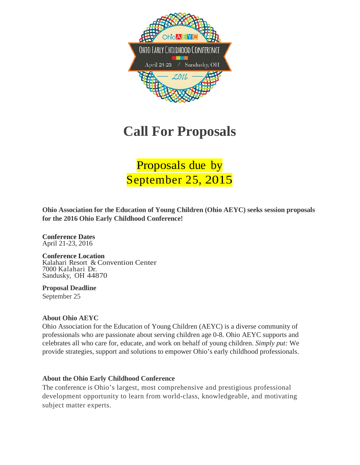

# **Call For Proposals**

Proposals due by September 25, 2015

**Ohio Association for the Education of Young Children (Ohio AEYC) seeks session proposals for the 2016 Ohio Early Childhood Conference!**

**Conference Dates** April 21-23, 2016

**Conference Location** Kalahari Resort & Convention Center<br>7000 Kalahari Dr. Sandusky, OH 44870

**Proposal Deadline** September 25

### **About Ohio AEYC**

Ohio Association for the Education of Young Children (AEYC) is a diverse community of professionals who are passionate about serving children age 0-8. Ohio AEYC supports and celebrates all who care for, educate, and work on behalf of young children. *Simply put:* We provide strategies, support and solutions to empower Ohio's early childhood professionals.

### **About the Ohio Early Childhood Conference**

The conference is Ohio's largest, most comprehensive and prestigious professional development opportunity to learn from world-class, knowledgeable, and motivating subject matter experts.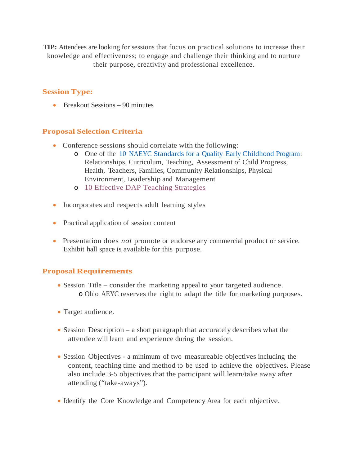**TIP:** Attendees are looking for sessions that focus on practical solutions to increase their knowledge and effectiveness; to engage and challenge their thinking and to nurture their purpose, creativity and professional excellence.

### **Session Type:**

• Breakout Sessions – 90 minutes

## **Proposal Selection Criteria**

- Conference sessions should correlate with the following:
	- o One of the 10 NAEYC Standards for a Quality Early [Childhood Program:](http://families.naeyc.org/accredited-article/10-naeyc-program-standards) Relationships, Curriculum, Teaching, Assessment of Child Progress, Health, Teachers, Families, Community Relationships, Physical Environment, Leadership and Management
	- o [10 Effective DAP Teaching Strategies](http://www.naeyc.org/dap/10-effective-dap-teaching-strategies)
- Incorporates and respects adult learning styles
- Practical application of session content
- Presentation does *not* promote or endorse any commercial product or service. Exhibit hall space is available for this purpose.

### **Proposal Requirements**

- Session Title consider the marketing appeal to your targeted audience. o Ohio AEYC reserves the right to adapt the title for marketing purposes.
- Target audience.
- Session Description a short paragraph that accurately describes what the attendee will learn and experience during the session.
- Session Objectives a minimum of two measureable objectives including the content, teaching time and method to be used to achieve the objectives. Please also include 3-5 objectives that the participant will learn/take away after attending ("take-aways").
- Identify the Core Knowledge and Competency Area for each objective.